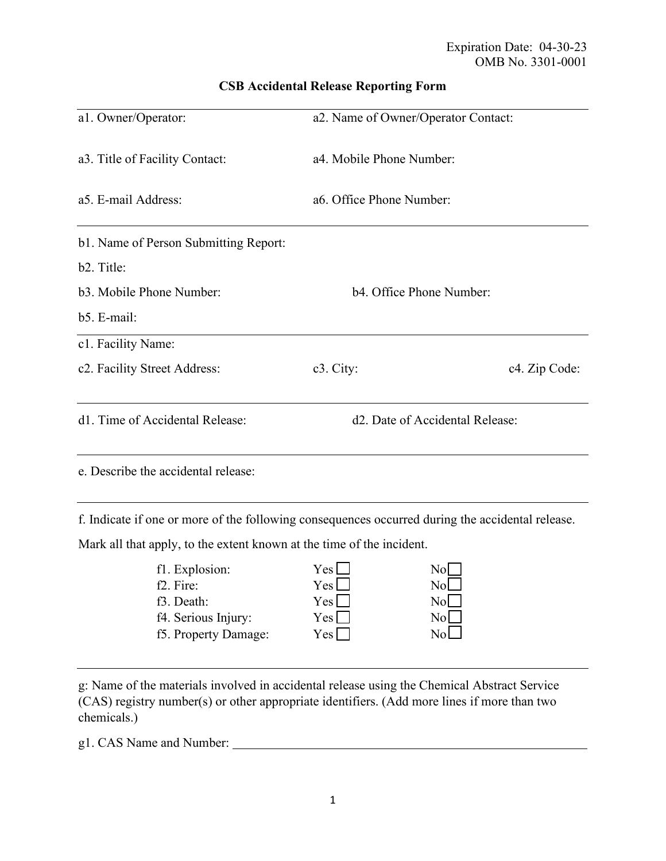| a1. Owner/Operator:                   | a2. Name of Owner/Operator Contact:          |               |
|---------------------------------------|----------------------------------------------|---------------|
| a3. Title of Facility Contact:        | a4. Mobile Phone Number:                     |               |
| a5. E-mail Address:                   | a6. Office Phone Number:                     |               |
| b1. Name of Person Submitting Report: |                                              |               |
| b <sub>2</sub> . Title:               |                                              |               |
| b3. Mobile Phone Number:              | b4. Office Phone Number:                     |               |
| b5. E-mail:                           |                                              |               |
| c1. Facility Name:                    |                                              |               |
| c2. Facility Street Address:          | c <sub>3</sub> . City:                       | c4. Zip Code: |
| d1. Time of Accidental Release:       | d <sub>2</sub> . Date of Accidental Release: |               |
| e. Describe the accidental release:   |                                              |               |

## **CSB Accidental Release Reporting Form**

f. Indicate if one or more of the following consequences occurred during the accidental release.

Mark all that apply, to the extent known at the time of the incident.

| fl. Explosion:         | Yes l        | Nol   |
|------------------------|--------------|-------|
| f <sub>2</sub> . Fire: | $Yes$ $\Box$ | Nol   |
| f3. Death:             | $Yes$ $\Box$ | Nol 1 |
| f4. Serious Injury:    | $Yes \Box$   | Nol   |
| f5. Property Damage:   | $Yes \Box$   | Nol   |
|                        |              |       |

g: Name of the materials involved in accidental release using the Chemical Abstract Service (CAS) registry number(s) or other appropriate identifiers. (Add more lines if more than two chemicals.)

g1. CAS Name and Number: